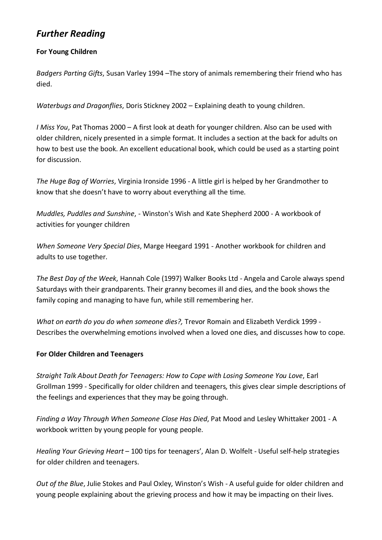# *Further Reading*

### **For Young Children**

*Badgers Parting Gifts*, Susan Varley 1994 –The story of animals remembering their friend who has died.

*Waterbugs and Dragonflies*, Doris Stickney 2002 – Explaining death to young children.

*I Miss You*, Pat Thomas 2000 – A first look at death for younger children. Also can be used with older children, nicely presented in a simple format. It includes a section at the back for adults on how to best use the book. An excellent educational book, which could be used as a starting point for discussion.

*The Huge Bag of Worries*, Virginia Ironside 1996 - A little girl is helped by her Grandmother to know that she doesn't have to worry about everything all the time.

*Muddles, Puddles and Sunshine*, - Winston's Wish and Kate Shepherd 2000 - A workbook of activities for younger children

*When Someone Very Special Dies*, Marge Heegard 1991 - Another workbook for children and adults to use together.

*The Best Day of the Week*, Hannah Cole (1997) Walker Books Ltd - Angela and Carole always spend Saturdays with their grandparents. Their granny becomes ill and dies, and the book shows the family coping and managing to have fun, while still remembering her.

*What on earth do you do when someone dies?,* Trevor Romain and Elizabeth Verdick 1999 - Describes the overwhelming emotions involved when a loved one dies, and discusses how to cope.

## **For Older Children and Teenagers**

*Straight Talk About Death for Teenagers: How to Cope with Losing Someone You Love*, Earl Grollman 1999 - Specifically for older children and teenagers, this gives clear simple descriptions of the feelings and experiences that they may be going through.

*Finding a Way Through When Someone Close Has Died*, Pat Mood and Lesley Whittaker 2001 - A workbook written by young people for young people.

*Healing Your Grieving Heart* – 100 tips for teenagers', Alan D. Wolfelt - Useful self-help strategies for older children and teenagers.

*Out of the Blue*, Julie Stokes and Paul Oxley, Winston's Wish - A useful guide for older children and young people explaining about the grieving process and how it may be impacting on their lives.